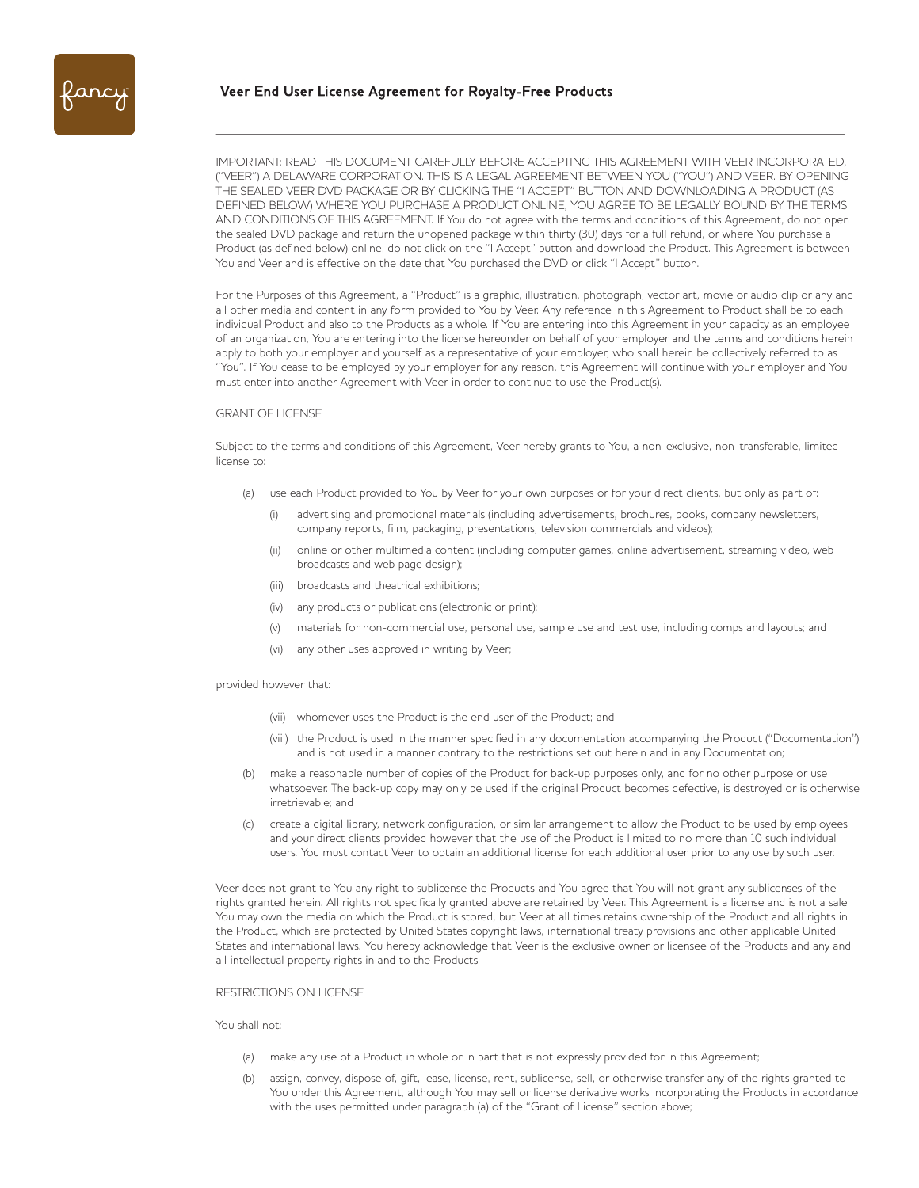IMPORTANT: READ THIS DOCUMENT CAREFULLY BEFORE ACCEPTING THIS AGREEMENT WITH VEER INCORPORATED, ("VEER") A DELAWARE CORPORATION. THIS IS A LEGAL AGREEMENT BETWEEN YOU ("YOU") AND VEER. BY OPENING THE SEALED VEER DVD PACKAGE OR BY CLICKING THE "I ACCEPT" BUTTON AND DOWNLOADING A PRODUCT (AS DEFINED BELOW) WHERE YOU PURCHASE A PRODUCT ONLINE, YOU AGREE TO BE LEGALLY BOUND BY THE TERMS AND CONDITIONS OF THIS AGREEMENT. If You do not agree with the terms and conditions of this Agreement, do not open the sealed DVD package and return the unopened package within thirty (30) days for a full refund, or where You purchase a Product (as defined below) online, do not click on the "I Accept" button and download the Product. This Agreement is between You and Veer and is effective on the date that You purchased the DVD or click "I Accept" button.

For the Purposes of this Agreement, a "Product" is a graphic, illustration, photograph, vector art, movie or audio clip or any and all other media and content in any form provided to You by Veer. Any reference in this Agreement to Product shall be to each individual Product and also to the Products as a whole. If You are entering into this Agreement in your capacity as an employee of an organization, You are entering into the license hereunder on behalf of your employer and the terms and conditions herein apply to both your employer and yourself as a representative of your employer, who shall herein be collectively referred to as "You". If You cease to be employed by your employer for any reason, this Agreement will continue with your employer and You must enter into another Agreement with Veer in order to continue to use the Product(s).

## GRANT OF LICENSE

Subject to the terms and conditions of this Agreement, Veer hereby grants to You, a non-exclusive, non-transferable, limited license to:

- (a) use each Product provided to You by Veer for your own purposes or for your direct clients, but only as part of:
	- (i) advertising and promotional materials (including advertisements, brochures, books, company newsletters, company reports, film, packaging, presentations, television commercials and videos);
	- (ii) online or other multimedia content (including computer games, online advertisement, streaming video, web broadcasts and web page design);
	- (iii) broadcasts and theatrical exhibitions;
	- (iv) any products or publications (electronic or print);
	- (v) materials for non-commercial use, personal use, sample use and test use, including comps and layouts; and
	- (vi) any other uses approved in writing by Veer;

#### provided however that:

- (vii) whomever uses the Product is the end user of the Product; and
- (viii) the Product is used in the manner specified in any documentation accompanying the Product ("Documentation") and is not used in a manner contrary to the restrictions set out herein and in any Documentation;
- (b) make a reasonable number of copies of the Product for back-up purposes only, and for no other purpose or use whatsoever. The back-up copy may only be used if the original Product becomes defective, is destroyed or is otherwise irretrievable; and
- (c) create a digital library, network configuration, or similar arrangement to allow the Product to be used by employees and your direct clients provided however that the use of the Product is limited to no more than 10 such individual users. You must contact Veer to obtain an additional license for each additional user prior to any use by such user.

Veer does not grant to You any right to sublicense the Products and You agree that You will not grant any sublicenses of the rights granted herein. All rights not specifically granted above are retained by Veer. This Agreement is a license and is not a sale. You may own the media on which the Product is stored, but Veer at all times retains ownership of the Product and all rights in the Product, which are protected by United States copyright laws, international treaty provisions and other applicable United States and international laws. You hereby acknowledge that Veer is the exclusive owner or licensee of the Products and any and all intellectual property rights in and to the Products.

## RESTRICTIONS ON LICENSE

### You shall not:

- (a) make any use of a Product in whole or in part that is not expressly provided for in this Agreement;
- (b) assign, convey, dispose of, gift, lease, license, rent, sublicense, sell, or otherwise transfer any of the rights granted to You under this Agreement, although You may sell or license derivative works incorporating the Products in accordance with the uses permitted under paragraph (a) of the "Grant of License" section above;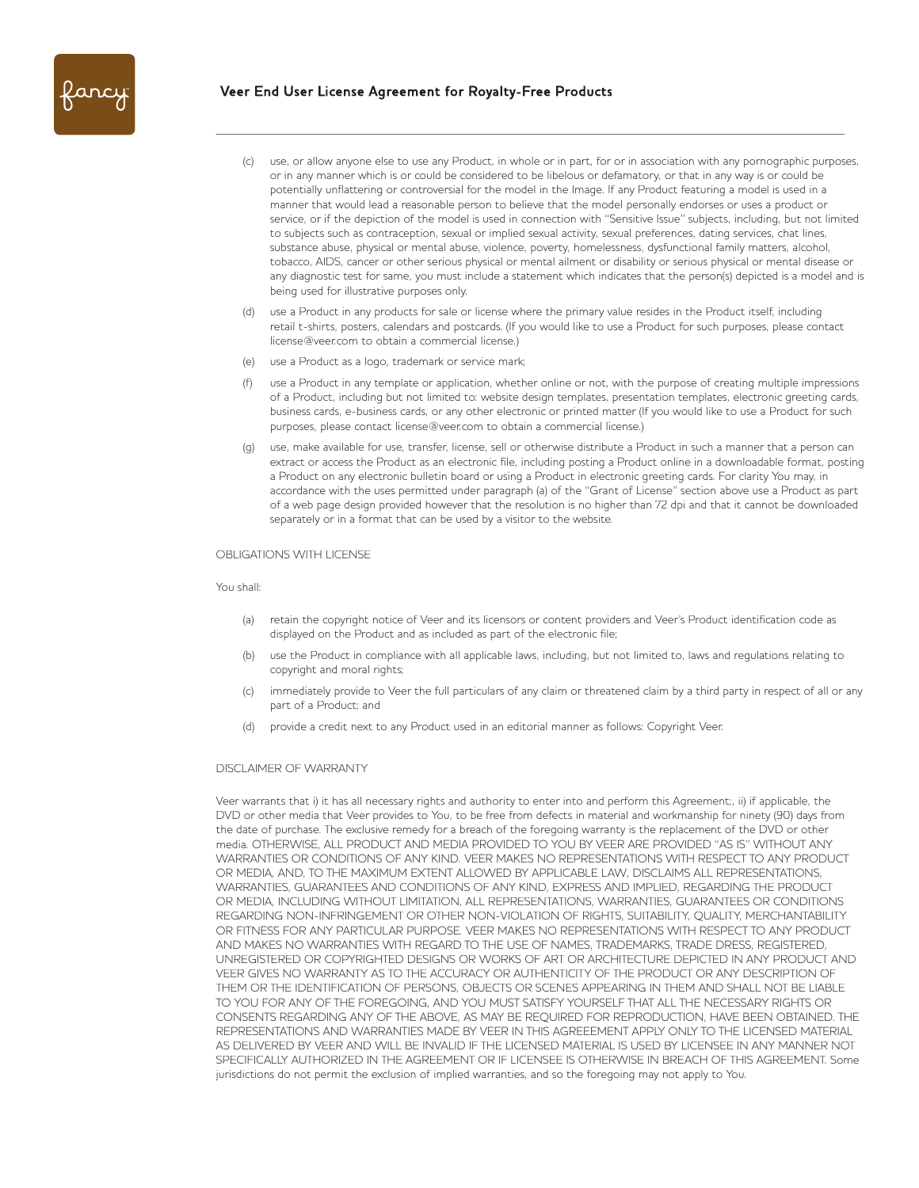

- (c) use, or allow anyone else to use any Product, in whole or in part, for or in association with any pornographic purposes, or in any manner which is or could be considered to be libelous or defamatory, or that in any way is or could be potentially unflattering or controversial for the model in the Image. If any Product featuring a model is used in a manner that would lead a reasonable person to believe that the model personally endorses or uses a product or service, or if the depiction of the model is used in connection with "Sensitive Issue" subjects, including, but not limited to subjects such as contraception, sexual or implied sexual activity, sexual preferences, dating services, chat lines, substance abuse, physical or mental abuse, violence, poverty, homelessness, dysfunctional family matters, alcohol, tobacco, AIDS, cancer or other serious physical or mental ailment or disability or serious physical or mental disease or any diagnostic test for same, you must include a statement which indicates that the person(s) depicted is a model and is being used for illustrative purposes only.
- use a Product in any products for sale or license where the primary value resides in the Product itself, including retail t-shirts, posters, calendars and postcards. (If you would like to use a Product for such purposes, please contact license@veer.com to obtain a commercial license.)
- (e) use a Product as a logo, trademark or service mark;
- use a Product in any template or application, whether online or not, with the purpose of creating multiple impressions of a Product, including but not limited to: website design templates, presentation templates, electronic greeting cards, business cards, e-business cards, or any other electronic or printed matter (If you would like to use a Product for such purposes, please contact license@veer.com to obtain a commercial license.)
- (g) use, make available for use, transfer, license, sell or otherwise distribute a Product in such a manner that a person can extract or access the Product as an electronic file, including posting a Product online in a downloadable format, posting a Product on any electronic bulletin board or using a Product in electronic greeting cards. For clarity You may, in accordance with the uses permitted under paragraph (a) of the "Grant of License" section above use a Product as part of a web page design provided however that the resolution is no higher than 72 dpi and that it cannot be downloaded separately or in a format that can be used by a visitor to the website.

# OBLIGATIONS WITH LICENSE

#### You shall:

- (a) retain the copyright notice of Veer and its licensors or content providers and Veer's Product identification code as displayed on the Product and as included as part of the electronic file;
- (b) use the Product in compliance with all applicable laws, including, but not limited to, laws and regulations relating to copyright and moral rights;
- (c) immediately provide to Veer the full particulars of any claim or threatened claim by a third party in respect of all or any part of a Product; and
- (d) provide a credit next to any Product used in an editorial manner as follows: Copyright Veer.

# DISCLAIMER OF WARRANTY

Veer warrants that i) it has all necessary rights and authority to enter into and perform this Agreement;, ii) if applicable, the DVD or other media that Veer provides to You, to be free from defects in material and workmanship for ninety (90) days from the date of purchase. The exclusive remedy for a breach of the foregoing warranty is the replacement of the DVD or other media. OTHERWISE, ALL PRODUCT AND MEDIA PROVIDED TO YOU BY VEER ARE PROVIDED "AS IS" WITHOUT ANY WARRANTIES OR CONDITIONS OF ANY KIND. VEER MAKES NO REPRESENTATIONS WITH RESPECT TO ANY PRODUCT OR MEDIA, AND, TO THE MAXIMUM EXTENT ALLOWED BY APPLICABLE LAW, DISCLAIMS ALL REPRESENTATIONS, WARRANTIES, GUARANTEES AND CONDITIONS OF ANY KIND, EXPRESS AND IMPLIED, REGARDING THE PRODUCT OR MEDIA, INCLUDING WITHOUT LIMITATION, ALL REPRESENTATIONS, WARRANTIES, GUARANTEES OR CONDITIONS REGARDING NON-INFRINGEMENT OR OTHER NON-VIOLATION OF RIGHTS, SUITABILITY, QUALITY, MERCHANTABILITY OR FITNESS FOR ANY PARTICULAR PURPOSE. VEER MAKES NO REPRESENTATIONS WITH RESPECT TO ANY PRODUCT AND MAKES NO WARRANTIES WITH REGARD TO THE USE OF NAMES, TRADEMARKS, TRADE DRESS, REGISTERED, UNREGISTERED OR COPYRIGHTED DESIGNS OR WORKS OF ART OR ARCHITECTURE DEPICTED IN ANY PRODUCT AND VEER GIVES NO WARRANTY AS TO THE ACCURACY OR AUTHENTICITY OF THE PRODUCT OR ANY DESCRIPTION OF THEM OR THE IDENTIFICATION OF PERSONS, OBJECTS OR SCENES APPEARING IN THEM AND SHALL NOT BE LIABLE TO YOU FOR ANY OF THE FOREGOING, AND YOU MUST SATISFY YOURSELF THAT ALL THE NECESSARY RIGHTS OR CONSENTS REGARDING ANY OF THE ABOVE, AS MAY BE REQUIRED FOR REPRODUCTION, HAVE BEEN OBTAINED. THE REPRESENTATIONS AND WARRANTIES MADE BY VEER IN THIS AGREEEMENT APPLY ONLY TO THE LICENSED MATERIAL AS DELIVERED BY VEER AND WILL BE INVALID IF THE LICENSED MATERIAL IS USED BY LICENSEE IN ANY MANNER NOT SPECIFICALLY AUTHORIZED IN THE AGREEMENT OR IF LICENSEE IS OTHERWISE IN BREACH OF THIS AGREEMENT. Some jurisdictions do not permit the exclusion of implied warranties, and so the foregoing may not apply to You.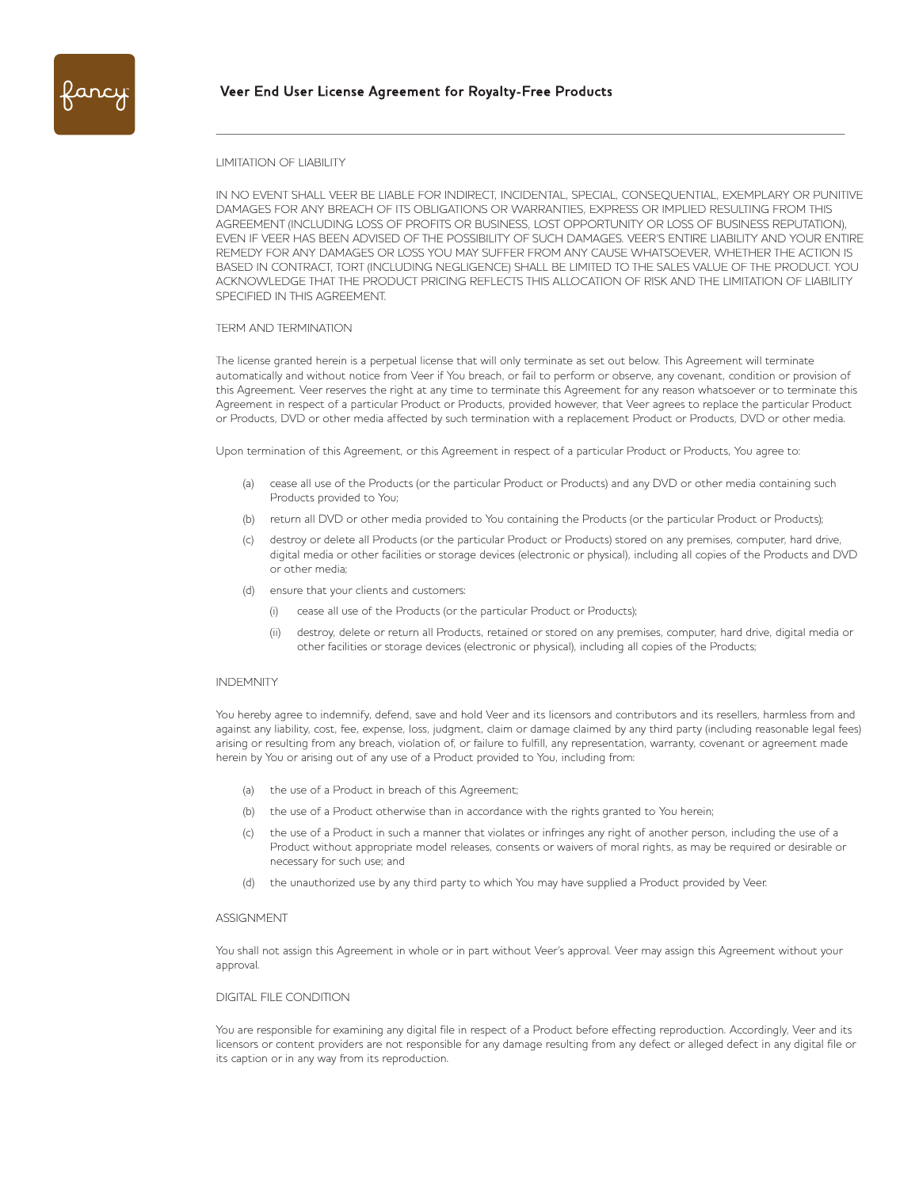

#### LIMITATION OF LIABILITY

IN NO EVENT SHALL VEER BE LIABLE FOR INDIRECT, INCIDENTAL, SPECIAL, CONSEQUENTIAL, EXEMPLARY OR PUNITIVE DAMAGES FOR ANY BREACH OF ITS OBLIGATIONS OR WARRANTIES, EXPRESS OR IMPLIED RESULTING FROM THIS AGREEMENT (INCLUDING LOSS OF PROFITS OR BUSINESS, LOST OPPORTUNITY OR LOSS OF BUSINESS REPUTATION), EVEN IF VEER HAS BEEN ADVISED OF THE POSSIBILITY OF SUCH DAMAGES. VEER'S ENTIRE LIABILITY AND YOUR ENTIRE REMEDY FOR ANY DAMAGES OR LOSS YOU MAY SUFFER FROM ANY CAUSE WHATSOEVER, WHETHER THE ACTION IS BASED IN CONTRACT, TORT (INCLUDING NEGLIGENCE) SHALL BE LIMITED TO THE SALES VALUE OF THE PRODUCT. YOU ACKNOWLEDGE THAT THE PRODUCT PRICING REFLECTS THIS ALLOCATION OF RISK AND THE LIMITATION OF LIABILITY SPECIFIED IN THIS AGREEMENT.

## TERM AND TERMINATION

The license granted herein is a perpetual license that will only terminate as set out below. This Agreement will terminate automatically and without notice from Veer if You breach, or fail to perform or observe, any covenant, condition or provision of this Agreement. Veer reserves the right at any time to terminate this Agreement for any reason whatsoever or to terminate this Agreement in respect of a particular Product or Products, provided however, that Veer agrees to replace the particular Product or Products, DVD or other media affected by such termination with a replacement Product or Products, DVD or other media.

Upon termination of this Agreement, or this Agreement in respect of a particular Product or Products, You agree to:

- (a) cease all use of the Products (or the particular Product or Products) and any DVD or other media containing such Products provided to You;
- (b) return all DVD or other media provided to You containing the Products (or the particular Product or Products);
- (c) destroy or delete all Products (or the particular Product or Products) stored on any premises, computer, hard drive, digital media or other facilities or storage devices (electronic or physical), including all copies of the Products and DVD or other media;
- (d) ensure that your clients and customers:
	- (i) cease all use of the Products (or the particular Product or Products);
	- (ii) destroy, delete or return all Products, retained or stored on any premises, computer, hard drive, digital media or other facilities or storage devices (electronic or physical), including all copies of the Products;

#### INDEMNITY

You hereby agree to indemnify, defend, save and hold Veer and its licensors and contributors and its resellers, harmless from and against any liability, cost, fee, expense, loss, judgment, claim or damage claimed by any third party (including reasonable legal fees) arising or resulting from any breach, violation of, or failure to fulfill, any representation, warranty, covenant or agreement made herein by You or arising out of any use of a Product provided to You, including from:

- (a) the use of a Product in breach of this Agreement;
- (b) the use of a Product otherwise than in accordance with the rights granted to You herein;
- (c) the use of a Product in such a manner that violates or infringes any right of another person, including the use of a Product without appropriate model releases, consents or waivers of moral rights, as may be required or desirable or necessary for such use; and
- the unauthorized use by any third party to which You may have supplied a Product provided by Veer.

#### ASSIGNMENT

You shall not assign this Agreement in whole or in part without Veer's approval. Veer may assign this Agreement without your approval.

### DIGITAL FILE CONDITION

You are responsible for examining any digital file in respect of a Product before effecting reproduction. Accordingly, Veer and its licensors or content providers are not responsible for any damage resulting from any defect or alleged defect in any digital file or its caption or in any way from its reproduction.